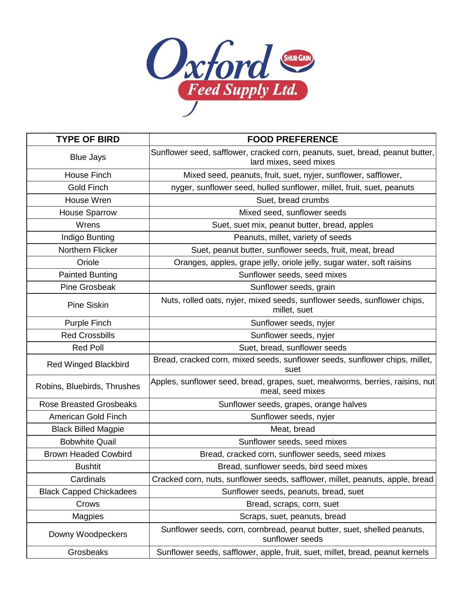

| <b>TYPE OF BIRD</b>            | <b>FOOD PREFERENCE</b>                                                                                  |
|--------------------------------|---------------------------------------------------------------------------------------------------------|
| <b>Blue Jays</b>               | Sunflower seed, safflower, cracked corn, peanuts, suet, bread, peanut butter,<br>lard mixes, seed mixes |
| House Finch                    | Mixed seed, peanuts, fruit, suet, nyjer, sunflower, safflower,                                          |
| Gold Finch                     | nyger, sunflower seed, hulled sunflower, millet, fruit, suet, peanuts                                   |
| House Wren                     | Suet, bread crumbs                                                                                      |
| <b>House Sparrow</b>           | Mixed seed, sunflower seeds                                                                             |
| Wrens                          | Suet, suet mix, peanut butter, bread, apples                                                            |
| Indigo Bunting                 | Peanuts, millet, variety of seeds                                                                       |
| Northern Flicker               | Suet, peanut butter, sunflower seeds, fruit, meat, bread                                                |
| Oriole                         | Oranges, apples, grape jelly, oriole jelly, sugar water, soft raisins                                   |
| <b>Painted Bunting</b>         | Sunflower seeds, seed mixes                                                                             |
| <b>Pine Grosbeak</b>           | Sunflower seeds, grain                                                                                  |
| <b>Pine Siskin</b>             | Nuts, rolled oats, nyjer, mixed seeds, sunflower seeds, sunflower chips,<br>millet, suet                |
| Purple Finch                   | Sunflower seeds, nyjer                                                                                  |
| <b>Red Crossbills</b>          | Sunflower seeds, nyjer                                                                                  |
| <b>Red Poll</b>                | Suet, bread, sunflower seeds                                                                            |
| <b>Red Winged Blackbird</b>    | Bread, cracked corn, mixed seeds, sunflower seeds, sunflower chips, millet,<br>suet                     |
| Robins, Bluebirds, Thrushes    | Apples, sunflower seed, bread, grapes, suet, mealworms, berries, raisins, nut<br>meal, seed mixes       |
| <b>Rose Breasted Grosbeaks</b> | Sunflower seeds, grapes, orange halves                                                                  |
| American Gold Finch            | Sunflower seeds, nyjer                                                                                  |
| <b>Black Billed Magpie</b>     | Meat, bread                                                                                             |
| <b>Bobwhite Quail</b>          | Sunflower seeds, seed mixes                                                                             |
| <b>Brown Headed Cowbird</b>    | Bread, cracked corn, sunflower seeds, seed mixes                                                        |
| <b>Bushtit</b>                 | Bread, sunflower seeds, bird seed mixes                                                                 |
| Cardinals                      | Cracked corn, nuts, sunflower seeds, safflower, millet, peanuts, apple, bread                           |
| <b>Black Capped Chickadees</b> | Sunflower seeds, peanuts, bread, suet                                                                   |
| Crows                          | Bread, scraps, corn, suet                                                                               |
| <b>Magpies</b>                 | Scraps, suet, peanuts, bread                                                                            |
| Downy Woodpeckers              | Sunflower seeds, corn, cornbread, peanut butter, suet, shelled peanuts,<br>sunflower seeds              |
| Grosbeaks                      | Sunflower seeds, safflower, apple, fruit, suet, millet, bread, peanut kernels                           |